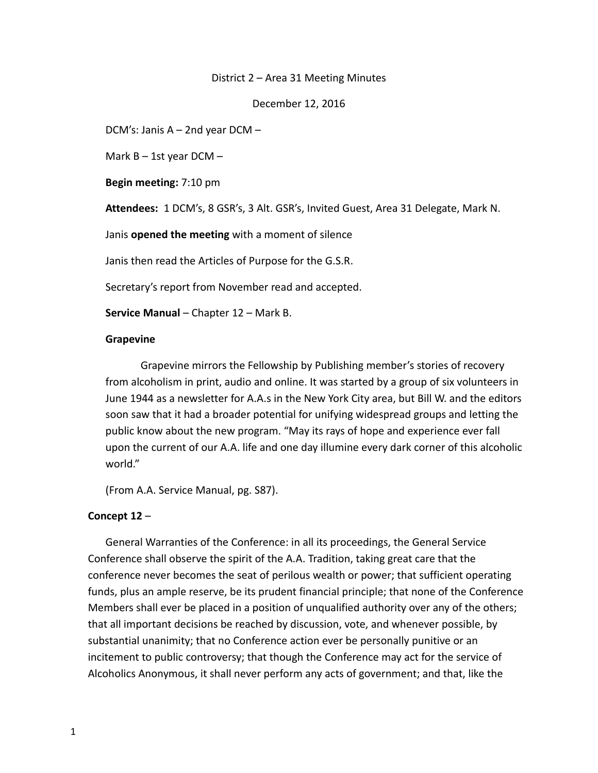#### District 2 – Area 31 Meeting Minutes

December 12, 2016

DCM's: Janis A – 2nd year DCM –

Mark  $B - 1$ st year DCM -

**Begin meeting:** 7:10 pm

**Attendees:** 1 DCM's, 8 GSR's, 3 Alt. GSR's, Invited Guest, Area 31 Delegate, Mark N.

Janis **opened the meeting** with a moment of silence

Janis then read the Articles of Purpose for the G.S.R.

Secretary's report from November read and accepted.

**Service Manual** – Chapter 12 – Mark B.

#### **Grapevine**

Grapevine mirrors the Fellowship by Publishing member's stories of recovery from alcoholism in print, audio and online. It was started by a group of six volunteers in June 1944 as a newsletter for A.A.s in the New York City area, but Bill W. and the editors soon saw that it had a broader potential for unifying widespread groups and letting the public know about the new program. "May its rays of hope and experience ever fall upon the current of our A.A. life and one day illumine every dark corner of this alcoholic world."

(From A.A. Service Manual, pg. S87).

### **Concept 12** –

General Warranties of the Conference: in all its proceedings, the General Service Conference shall observe the spirit of the A.A. Tradition, taking great care that the conference never becomes the seat of perilous wealth or power; that sufficient operating funds, plus an ample reserve, be its prudent financial principle; that none of the Conference Members shall ever be placed in a position of unqualified authority over any of the others; that all important decisions be reached by discussion, vote, and whenever possible, by substantial unanimity; that no Conference action ever be personally punitive or an incitement to public controversy; that though the Conference may act for the service of Alcoholics Anonymous, it shall never perform any acts of government; and that, like the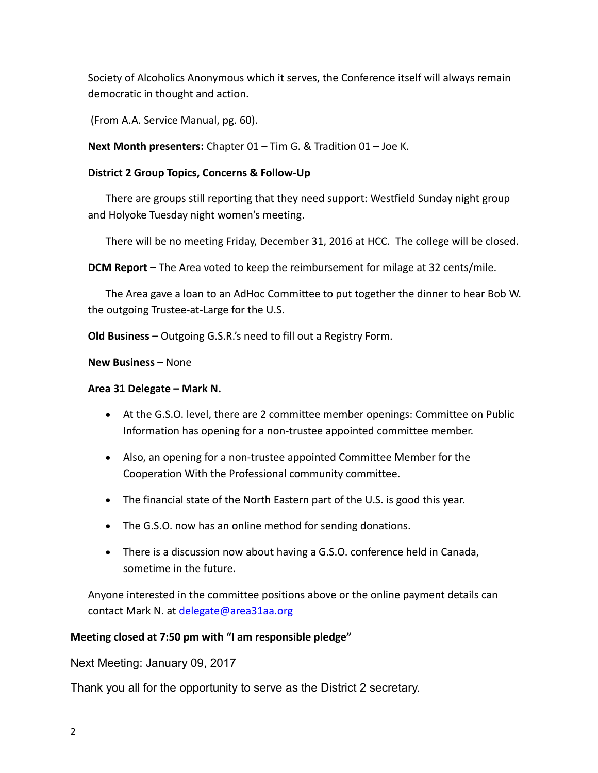Society of Alcoholics Anonymous which it serves, the Conference itself will always remain democratic in thought and action.

(From A.A. Service Manual, pg. 60).

**Next Month presenters:** Chapter 01 – Tim G. & Tradition 01 – Joe K.

## **District 2 Group Topics, Concerns & Follow-Up**

There are groups still reporting that they need support: Westfield Sunday night group and Holyoke Tuesday night women's meeting.

There will be no meeting Friday, December 31, 2016 at HCC. The college will be closed.

**DCM Report –** The Area voted to keep the reimbursement for milage at 32 cents/mile.

The Area gave a loan to an AdHoc Committee to put together the dinner to hear Bob W. the outgoing Trustee-at-Large for the U.S.

**Old Business –** Outgoing G.S.R.'s need to fill out a Registry Form.

**New Business –** None

### **Area 31 Delegate – Mark N.**

- At the G.S.O. level, there are 2 committee member openings: Committee on Public Information has opening for a non-trustee appointed committee member.
- Also, an opening for a non-trustee appointed Committee Member for the Cooperation With the Professional community committee.
- The financial state of the North Eastern part of the U.S. is good this year.
- The G.S.O. now has an online method for sending donations.
- There is a discussion now about having a G.S.O. conference held in Canada, sometime in the future.

Anyone interested in the committee positions above or the online payment details can contact Mark N. at [delegate@area31aa.org](mailto:delegate@area31aa.org)

# **Meeting closed at 7:50 pm with "I am responsible pledge"**

Next Meeting: January 09, 2017

Thank you all for the opportunity to serve as the District 2 secretary.